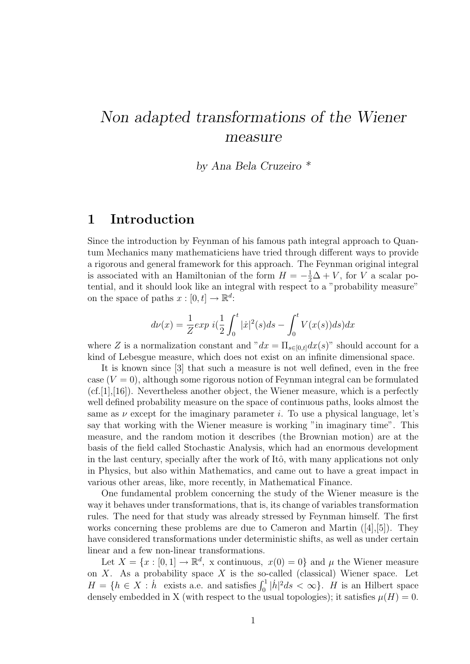# Non adapted transformations of the Wiener measure

by Ana Bela Cruzeiro \*

### 1 Introduction

Since the introduction by Feynman of his famous path integral approach to Quantum Mechanics many mathematiciens have tried through different ways to provide a rigorous and general framework for this approach. The Feynman original integral is associated with an Hamiltonian of the form  $H = -\frac{1}{2}\Delta + V$ , for V a scalar potential, and it should look like an integral with respect to a "probability measure" on the space of paths  $x : [0, t] \to \mathbb{R}^d$ :

$$
d\nu(x) = \frac{1}{Z} \exp \, i \left(\frac{1}{2} \int_0^t |\dot{x}|^2(s) ds - \int_0^t V(x(s)) ds\right) dx
$$

where Z is a normalization constant and " $dx = \prod_{s \in [0,t]} dx(s)$ " should account for a kind of Lebesgue measure, which does not exist on an infinite dimensional space.

It is known since [3] that such a measure is not well defined, even in the free case  $(V = 0)$ , although some rigorous notion of Feynman integral can be formulated  $(cf.[1],[16])$ . Nevertheless another object, the Wiener measure, which is a perfectly well defined probability measure on the space of continuous paths, looks almost the same as  $\nu$  except for the imaginary parameter i. To use a physical language, let's say that working with the Wiener measure is working "in imaginary time". This measure, and the random motion it describes (the Brownian motion) are at the basis of the field called Stochastic Analysis, which had an enormous development in the last century, specially after the work of Itô, with many applications not only in Physics, but also within Mathematics, and came out to have a great impact in various other areas, like, more recently, in Mathematical Finance.

One fundamental problem concerning the study of the Wiener measure is the way it behaves under transformations, that is, its change of variables transformation rules. The need for that study was already stressed by Feynman himself. The first works concerning these problems are due to Cameron and Martin  $([4],[5])$ . They have considered transformations under deterministic shifts, as well as under certain linear and a few non-linear transformations.

Let  $X = \{x : [0,1] \to \mathbb{R}^d$ , x continuous,  $x(0) = 0\}$  and  $\mu$  the Wiener measure on  $X$ . As a probability space  $X$  is the so-called (classical) Wiener space. Let  $H = \{h \in X : \dot{h}$  exists a.e. and satisfies  $\int_0^1 |\dot{h}|^2 ds < \infty\}$ . H is an Hilbert space densely embedded in X (with respect to the usual topologies); it satisfies  $\mu(H) = 0$ .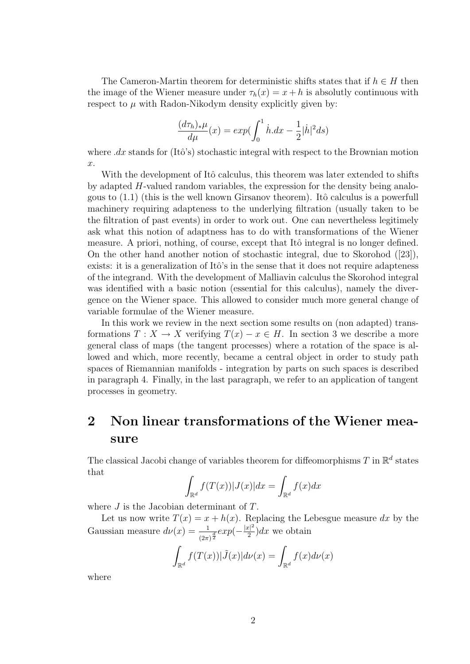The Cameron-Martin theorem for deterministic shifts states that if  $h \in H$  then the image of the Wiener measure under  $\tau_h(x) = x + h$  is absolutly continuous with respect to  $\mu$  with Radon-Nikodym density explicitly given by:

$$
\frac{(d\tau_h)_*\mu}{d\mu}(x) = \exp(\int_0^1 \dot{h} \, dx - \frac{1}{2}|\dot{h}|^2 ds)
$$

where  $dx$  stands for (Itô's) stochastic integral with respect to the Brownian motion x.

With the development of Itô calculus, this theorem was later extended to shifts by adapted H-valued random variables, the expression for the density being analogous to  $(1.1)$  (this is the well known Girsanov theorem). Itô calculus is a powerfull machinery requiring adapteness to the underlying filtration (usually taken to be the filtration of past events) in order to work out. One can nevertheless legitimely ask what this notion of adaptness has to do with transformations of the Wiener measure. A priori, nothing, of course, except that Itô integral is no longer defined. On the other hand another notion of stochastic integral, due to Skorohod ([23]), exists: it is a generalization of Itô's in the sense that it does not require adapteness of the integrand. With the development of Malliavin calculus the Skorohod integral was identified with a basic notion (essential for this calculus), namely the divergence on the Wiener space. This allowed to consider much more general change of variable formulae of the Wiener measure.

In this work we review in the next section some results on (non adapted) transformations  $T: X \to X$  verifying  $T(x) - x \in H$ . In section 3 we describe a more general class of maps (the tangent processes) where a rotation of the space is allowed and which, more recently, became a central object in order to study path spaces of Riemannian manifolds - integration by parts on such spaces is described in paragraph 4. Finally, in the last paragraph, we refer to an application of tangent processes in geometry.

## 2 Non linear transformations of the Wiener measure

The classical Jacobi change of variables theorem for diffeomorphisms T in  $\mathbb{R}^d$  states that

$$
\int_{\mathbb{R}^d} f(T(x)) |J(x)| dx = \int_{\mathbb{R}^d} f(x) dx
$$

where  $J$  is the Jacobian determinant of  $T$ .

Let us now write  $T(x) = x + h(x)$ . Replacing the Lebesgue measure dx by the Gaussian measure  $d\nu(x) = \frac{1}{(2\pi)^{\frac{d}{2}}} exp(-\frac{|x|^2}{2})$  $\frac{x}{2}$ )dx we obtain

> Z  $\mathbb{R}^d$  $f(T(x))|\tilde{J}(x)|d\nu(x) =$  $\mathbb{R}^d$  $f(x)d\nu(x)$

where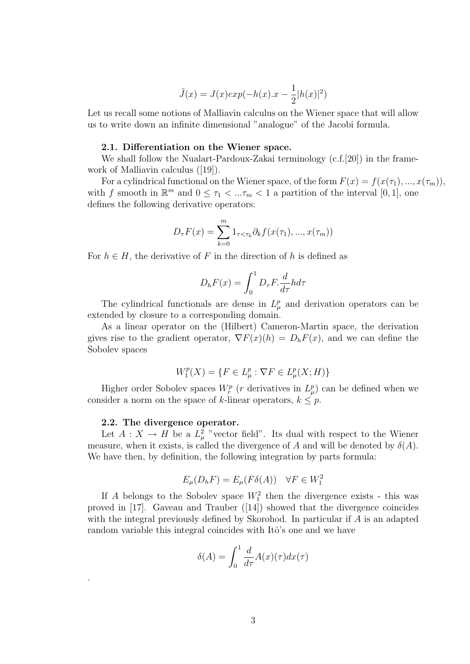$$
\tilde{J}(x) = J(x)exp(-h(x).x - \frac{1}{2}|h(x)|^2)
$$

Let us recall some notions of Malliavin calculus on the Wiener space that will allow us to write down an infinite dimensional "analogue" of the Jacobi formula.

#### 2.1. Differentiation on the Wiener space.

We shall follow the Nualart-Pardoux-Zakai terminology (c.f.[20]) in the framework of Malliavin calculus ([19]).

For a cylindrical functional on the Wiener space, of the form  $F(x) = f(x(\tau_1), ..., x(\tau_m))$ , with f smooth in  $\mathbb{R}^m$  and  $0 \leq \tau_1 < \ldots \tau_m < 1$  a partition of the interval  $[0,1]$ , one defines the following derivative operators:

$$
D_{\tau}F(x) = \sum_{k=0}^{m} 1_{\tau < \tau_k} \partial_k f(x(\tau_1), ..., x(\tau_m))
$$

For  $h \in H$ , the derivative of F in the direction of h is defined as

$$
D_h F(x) = \int_0^1 D_\tau F \frac{d}{d\tau} h d\tau
$$

The cylindrical functionals are dense in  $L^p_\mu$  and derivation operators can be extended by closure to a corresponding domain.

As a linear operator on the (Hilbert) Cameron-Martin space, the derivation gives rise to the gradient operator,  $\nabla F(x)(h) = D_h F(x)$ , and we can define the Sobolev spaces

$$
W_1^p(X) = \{ F \in L^p_\mu : \nabla F \in L^p_\mu(X;H) \}
$$

Higher order Sobolev spaces  $W_r^p$  (*r* derivatives in  $L^p_\mu$ ) can be defined when we consider a norm on the space of k-linear operators,  $k \leq p$ .

#### 2.2. The divergence operator.

.

Let  $A: X \to H$  be a  $L^2_{\mu}$  "vector field". Its dual with respect to the Wiener measure, when it exists, is called the divergence of A and will be denoted by  $\delta(A)$ . We have then, by definition, the following integration by parts formula:

$$
E_{\mu}(D_h F) = E_{\mu}(F \delta(A)) \quad \forall F \in W_1^2
$$

If A belongs to the Sobolev space  $W_1^2$  then the divergence exists - this was proved in [17]. Gaveau and Trauber ([14]) showed that the divergence coincides with the integral previously defined by Skorohod. In particular if A is an adapted random variable this integral coincides with Itô's one and we have

$$
\delta(A) = \int_0^1 \frac{d}{d\tau} A(x)(\tau) dx(\tau)
$$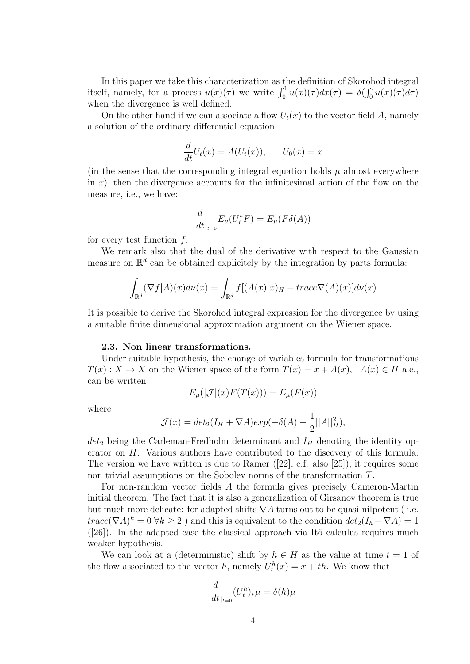In this paper we take this characterization as the definition of Skorohod integral itself, namely, for a process  $u(x)(\tau)$  we write  $\int_0^1 u(x)(\tau)dx(\tau) = \delta(\int_0^1 u(x)(\tau)d\tau)$ when the divergence is well defined.

On the other hand if we can associate a flow  $U_t(x)$  to the vector field A, namely a solution of the ordinary differential equation

$$
\frac{d}{dt}U_t(x) = A(U_t(x)), \qquad U_0(x) = x
$$

(in the sense that the corresponding integral equation holds  $\mu$  almost everywhere in  $x$ ), then the divergence accounts for the infinitesimal action of the flow on the measure, i.e., we have:

$$
\frac{d}{dt}_{|_{t=0}} E_{\mu}(U_t^* F) = E_{\mu}(F \delta(A))
$$

for every test function  $f$ .

We remark also that the dual of the derivative with respect to the Gaussian measure on  $\mathbb{R}^d$  can be obtained explicitely by the integration by parts formula:

$$
\int_{\mathbb{R}^d} (\nabla f | A)(x) d\nu(x) = \int_{\mathbb{R}^d} f[(A(x)|x)_H - trace \nabla(A)(x)] d\nu(x)
$$

It is possible to derive the Skorohod integral expression for the divergence by using a suitable finite dimensional approximation argument on the Wiener space.

#### 2.3. Non linear transformations.

Under suitable hypothesis, the change of variables formula for transformations  $T(x): X \to X$  on the Wiener space of the form  $T(x) = x + A(x)$ ,  $A(x) \in H$  a.e., can be written

$$
E_{\mu}(|\mathcal{J}|(x)F(T(x))) = E_{\mu}(F(x))
$$

where

$$
\mathcal{J}(x) = det_2(I_H + \nabla A)exp(-\delta(A) - \frac{1}{2}||A||_H^2),
$$

 $det_2$  being the Carleman-Fredholm determinant and  $I_H$  denoting the identity operator on H. Various authors have contributed to the discovery of this formula. The version we have written is due to Ramer ([22], c.f. also [25]); it requires some non trivial assumptions on the Sobolev norms of the transformation T.

For non-random vector fields A the formula gives precisely Cameron-Martin initial theorem. The fact that it is also a generalization of Girsanov theorem is true but much more delicate: for adapted shifts  $\nabla A$  turns out to be quasi-nilpotent (i.e.  $trace(\nabla A)^k = 0 \,\forall k \geq 2$  ) and this is equivalent to the condition  $det_2(I_h + \nabla A) = 1$  $([26])$ . In the adapted case the classical approach via Itô calculus requires much weaker hypothesis.

We can look at a (deterministic) shift by  $h \in H$  as the value at time  $t = 1$  of the flow associated to the vector h, namely  $U_t^h(x) = x + th$ . We know that

$$
\frac{d}{dt}_{|_{t=0}} (U_t^h)_* \mu = \delta(h) \mu
$$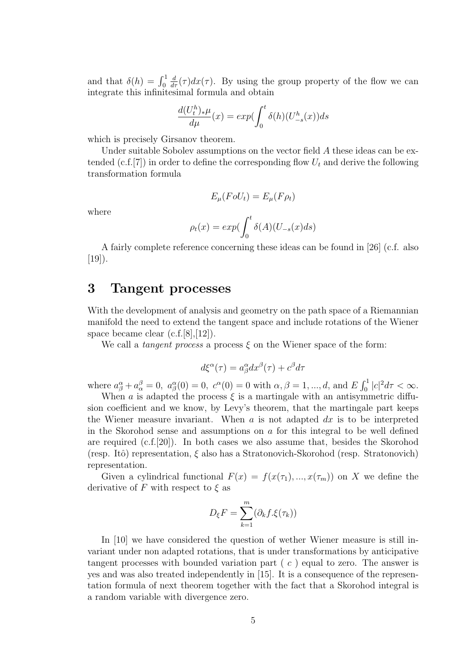and that  $\delta(h) = \int_0^1$  $\frac{d}{d\tau}(\tau)dx(\tau)$ . By using the group property of the flow we can integrate this infinitesimal formula and obtain

$$
\frac{d(U_t^h)_{*\mu}}{d\mu}(x) = exp(\int_0^t \delta(h)(U_{-s}^h(x))ds
$$

which is precisely Girsanov theorem.

Under suitable Sobolev assumptions on the vector field A these ideas can be extended (c.f.[7]) in order to define the corresponding flow  $U_t$  and derive the following transformation formula

$$
E_{\mu}(F o U_t) = E_{\mu}(F \rho_t)
$$

where

$$
\rho_t(x) = exp(\int_0^t \delta(A)(U_{-s}(x)ds)
$$

A fairly complete reference concerning these ideas can be found in [26] (c.f. also [19]).

### 3 Tangent processes

With the development of analysis and geometry on the path space of a Riemannian manifold the need to extend the tangent space and include rotations of the Wiener space became clear (c.f.[8],[12]).

We call a *tangent process* a process  $\xi$  on the Wiener space of the form:

$$
d\xi^{\alpha}(\tau) = a^{\alpha}_{\beta} dx^{\beta}(\tau) + c^{\beta} d\tau
$$

where  $a_{\beta}^{\alpha} + a_{\alpha}^{\beta} = 0$ ,  $a_{\beta}^{\alpha}(0) = 0$ ,  $c^{\alpha}(0) = 0$  with  $\alpha, \beta = 1, ..., d$ , and  $E \int_0^1 |c|^2 d\tau < \infty$ .

When a is adapted the process  $\xi$  is a martingale with an antisymmetric diffusion coefficient and we know, by Levy's theorem, that the martingale part keeps the Wiener measure invariant. When  $a$  is not adapted  $dx$  is to be interpreted in the Skorohod sense and assumptions on  $\alpha$  for this integral to be well defined are required  $(c.f.|20)$ . In both cases we also assume that, besides the Skorohod (resp. Itô) representation,  $\xi$  also has a Stratonovich-Skorohod (resp. Stratonovich) representation.

Given a cylindrical functional  $F(x) = f(x(\tau_1),...,x(\tau_m))$  on X we define the derivative of F with respect to  $\xi$  as

$$
D_{\xi}F = \sum_{k=1}^{m} (\partial_{k}f.\xi(\tau_{k}))
$$

In [10] we have considered the question of wether Wiener measure is still invariant under non adapted rotations, that is under transformations by anticipative tangent processes with bounded variation part  $(c)$  equal to zero. The answer is yes and was also treated independently in [15]. It is a consequence of the representation formula of next theorem together with the fact that a Skorohod integral is a random variable with divergence zero.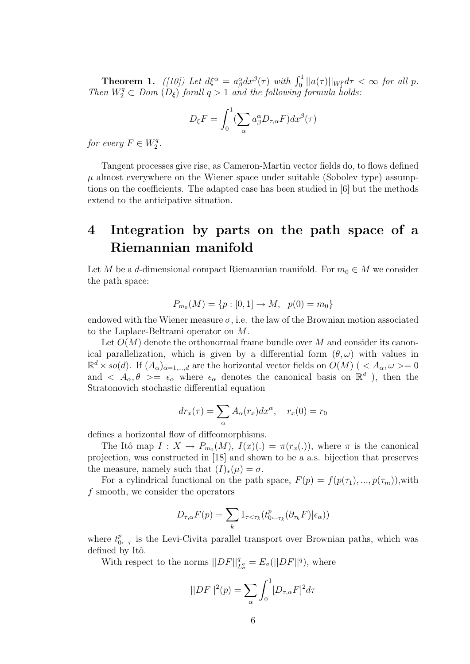**Theorem 1.** ([10]) Let  $d\xi^{\alpha} = a_{\beta}^{\alpha} dx^{\beta}(\tau)$  with  $\int_0^1 ||a(\tau)||_{W_1^p} d\tau < \infty$  for all p. Then  $W_2^q \subset Dom\left(D_{\xi}\right)$  forall  $q > 1$  and the following formula holds:

$$
D_{\xi}F = \int_0^1 (\sum_{\alpha} a_{\beta}^{\alpha} D_{\tau,\alpha} F) dx^{\beta}(\tau)
$$

for every  $F \in W_2^q$  $\frac{q}{2}$ .

Tangent processes give rise, as Cameron-Martin vector fields do, to flows defined  $\mu$  almost everywhere on the Wiener space under suitable (Sobolev type) assumptions on the coefficients. The adapted case has been studied in [6] but the methods extend to the anticipative situation.

## 4 Integration by parts on the path space of a Riemannian manifold

Let M be a d-dimensional compact Riemannian manifold. For  $m_0 \in M$  we consider the path space:

$$
P_{m_0}(M) = \{p : [0,1] \to M, \ p(0) = m_0\}
$$

endowed with the Wiener measure  $\sigma$ , i.e. the law of the Brownian motion associated to the Laplace-Beltrami operator on M.

Let  $O(M)$  denote the orthonormal frame bundle over M and consider its canonical parallelization, which is given by a differential form  $(\theta, \omega)$  with values in  $\mathbb{R}^d \times so(d)$ . If  $(A_\alpha)_{\alpha=1,\dots,d}$  are the horizontal vector fields on  $O(M)$  ( $\langle A_\alpha, \omega \rangle = 0$ and  $\langle A_{\alpha}, \theta \rangle = \epsilon_{\alpha}$  where  $\epsilon_{\alpha}$  denotes the canonical basis on  $\mathbb{R}^d$ , then the Stratonovich stochastic differential equation

$$
dr_x(\tau) = \sum_{\alpha} A_{\alpha}(r_x) dx^{\alpha}, \quad r_x(0) = r_0
$$

defines a horizontal flow of diffeomorphisms.

The Itô map  $I: X \to P_{m_0}(M)$ ,  $I(x)(.) = \pi(r_x(.))$ , where  $\pi$  is the canonical projection, was constructed in [18] and shown to be a a.s. bijection that preserves the measure, namely such that  $(I)_*(\mu) = \sigma$ .

For a cylindrical functional on the path space,  $F(p) = f(p(\tau_1), ..., p(\tau_m))$ , with f smooth, we consider the operators

$$
D_{\tau,\alpha}F(p) = \sum_{k} 1_{\tau < \tau_k} (t_{0\leftarrow \tau_k}^p(\partial_{\tau_k}F)|\epsilon_\alpha))
$$

where  $t_0^p$  $_{0 \leftarrow \tau}^{p}$  is the Levi-Civita parallel transport over Brownian paths, which was defined by Itô.

With respect to the norms  $||DF||_{L^q_{\sigma}}^q = E_{\sigma}(||DF||^q)$ , where

$$
||DF||^2(p) = \sum_{\alpha} \int_0^1 [D_{\tau,\alpha}F]^2 d\tau
$$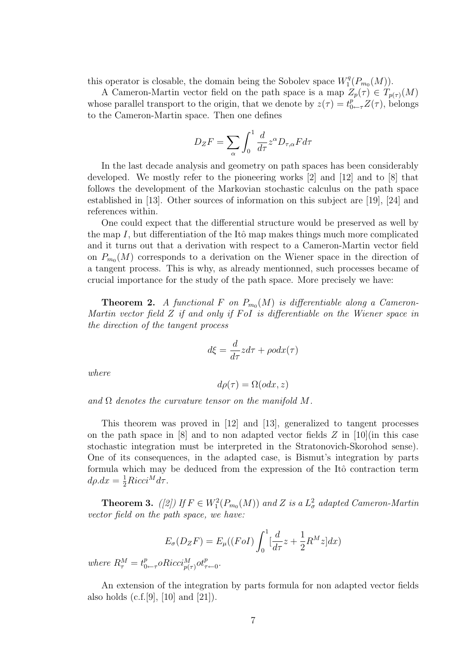this operator is closable, the domain being the Sobolev space  $W_1^q$  $T_1^q(P_{m_0}(M)).$ 

A Cameron-Martin vector field on the path space is a map  $Z_p(\tau) \in T_{p(\tau)}(M)$ whose parallel transport to the origin, that we denote by  $z(\tau) = t_{0 \leftarrow \tau}^p Z(\tau)$ , belongs to the Cameron-Martin space. Then one defines

$$
D_{Z}F = \sum_{\alpha} \int_{0}^{1} \frac{d}{d\tau} z^{\alpha} D_{\tau,\alpha} F d\tau
$$

In the last decade analysis and geometry on path spaces has been considerably developed. We mostly refer to the pioneering works  $[2]$  and  $[12]$  and to  $[8]$  that follows the development of the Markovian stochastic calculus on the path space established in [13]. Other sources of information on this subject are [19], [24] and references within.

One could expect that the differential structure would be preserved as well by the map I, but differentiation of the Itô map makes things much more complicated and it turns out that a derivation with respect to a Cameron-Martin vector field on  $P_{m_0}(M)$  corresponds to a derivation on the Wiener space in the direction of a tangent process. This is why, as already mentionned, such processes became of crucial importance for the study of the path space. More precisely we have:

**Theorem 2.** A functional F on  $P_{m_0}(M)$  is differentiable along a Cameron-Martin vector field  $Z$  if and only if FoI is differentiable on the Wiener space in the direction of the tangent process

$$
d\xi = \frac{d}{d\tau}z d\tau + \rho o dx(\tau)
$$

where

$$
d\rho(\tau) = \Omega(odx, z)
$$

and  $\Omega$  denotes the curvature tensor on the manifold M.

This theorem was proved in [12] and [13], generalized to tangent processes on the path space in  $[8]$  and to non adapted vector fields  $Z$  in  $[10]$ (in this case stochastic integration must be interpreted in the Stratonovich-Skorohod sense). One of its consequences, in the adapted case, is Bismut's integration by parts formula which may be deduced from the expression of the Itô contraction term  $d\rho dx = \frac{1}{2}Ricci^M d\tau.$ 

**Theorem 3.** ([2]) If  $F \in W_1^2(P_{m_0}(M))$  and Z is a  $L^2_{\sigma}$  adapted Cameron-Martin vector field on the path space, we have:

$$
E_{\sigma}(D_{Z}F) = E_{\mu}((FoI)\int_{0}^{1} \left[\frac{d}{d\tau}z + \frac{1}{2}R^{M}z\right]dx)
$$

where  $R_{\tau}^{M}=t_{0}^{p}$  $p_{0 \leftarrow \tau}^p \circ Ricci^M_{p(\tau)} \circ t^p_{\tau \leftarrow 0}.$ 

An extension of the integration by parts formula for non adapted vector fields also holds (c.f.[9], [10] and [21]).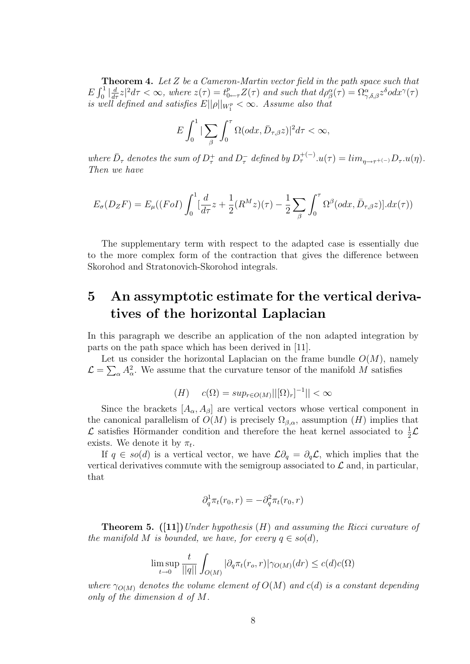**Theorem 4.** Let Z be a Cameron-Martin vector field in the path space such that  $E\int_0^1\left|\frac{d}{d\tau}z\right|^2d\tau < \infty$ , where  $z(\tau) = t_{0\leftarrow \tau}^p Z(\tau)$  and such that  $d\rho^{\alpha}_{\beta}(\tau) = \Omega^{\alpha}_{\gamma,\delta,\beta}z^{\delta}odx^{\gamma}(\tau)$ is well defined and satisfies  $E||\rho||_{W_1^p} < \infty$ . Assume also that

$$
E\int_0^1|\sum_{\beta}\int_0^{\tau}\Omega(\partial dx,\bar{D}_{\tau,\beta}z)|^2d\tau<\infty,
$$

where  $\bar{D}_{\tau}$  denotes the sum of  $D_{\tau}^+$  and  $D_{\tau}^-$  defined by  $D_{\tau}^{+(-)}u(\tau) = \lim_{\eta \to \tau^{+(-)}} D_{\tau}.u(\eta)$ . Then we have

$$
E_{\sigma}(D_{Z}F) = E_{\mu}((F \circ I) \int_0^1 \left[\frac{d}{d\tau}z + \frac{1}{2}(R^M z)(\tau) - \frac{1}{2} \sum_{\beta} \int_0^{\tau} \Omega^{\beta}(\text{od}x, \bar{D}_{\tau,\beta}z)\right].dx(\tau))
$$

The supplementary term with respect to the adapted case is essentially due to the more complex form of the contraction that gives the difference between Skorohod and Stratonovich-Skorohod integrals.

### 5 An assymptotic estimate for the vertical derivatives of the horizontal Laplacian

In this paragraph we describe an application of the non adapted integration by parts on the path space which has been derived in [11].

Let us consider the horizontal Laplacian on the frame bundle  $O(M)$ , namely  $\mathcal{L} = \sum_{\alpha} A_{\alpha}^2$ . We assume that the curvature tensor of the manifold M satisfies

$$
(H) \quad c(\Omega) = \sup_{r \in O(M)} ||[\Omega)_r]^{-1}|| < \infty
$$

Since the brackets  $[A_{\alpha}, A_{\beta}]$  are vertical vectors whose vertical component in the canonical parallelism of  $O(M)$  is precisely  $\Omega_{\beta,\alpha}$ , assumption  $(H)$  implies that  $\mathcal L$  satisfies Hörmander condition and therefore the heat kernel associated to  $\frac{1}{2}\mathcal L$ exists. We denote it by  $\pi_t$ .

If  $q \in so(d)$  is a vertical vector, we have  $\mathcal{L}\partial_q = \partial_q \mathcal{L}$ , which implies that the vertical derivatives commute with the semigroup associated to  $\mathcal L$  and, in particular, that

$$
\partial_q^1 \pi_t(r_0, r) = -\partial_q^2 \pi_t(r_0, r)
$$

**Theorem 5.** ([11]) Under hypothesis (H) and assuming the Ricci curvature of the manifold M is bounded, we have, for every  $q \in so(d)$ ,

$$
\limsup_{t \to 0} \frac{t}{||q||} \int_{O(M)} |\partial_q \pi_t(r_o, r)| \gamma_{O(M)}(dr) \le c(d)c(\Omega)
$$

where  $\gamma_{O(M)}$  denotes the volume element of  $O(M)$  and  $c(d)$  is a constant depending only of the dimension d of M.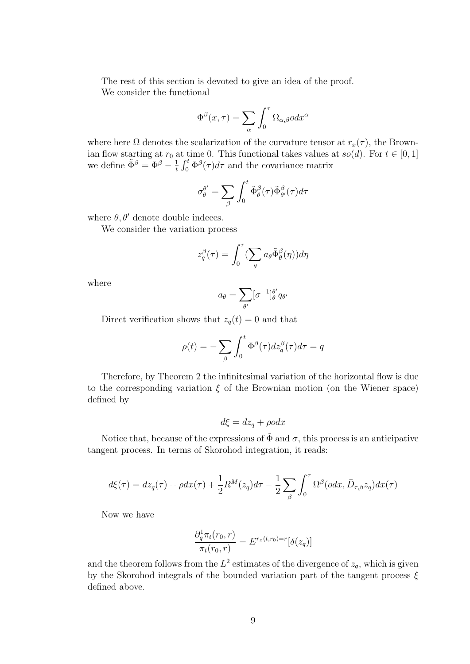The rest of this section is devoted to give an idea of the proof. We consider the functional

$$
\Phi^{\beta}(x,\tau) = \sum_{\alpha} \int_0^{\tau} \Omega_{\alpha,\beta} \, d\tau^{\alpha}
$$

where here  $\Omega$  denotes the scalarization of the curvature tensor at  $r_x(\tau)$ , the Brownian flow starting at  $r_0$  at time 0. This functional takes values at  $so(d)$ . For  $t \in [0, 1]$ we define  $\tilde{\Phi}^{\beta} = \Phi^{\beta} - \frac{1}{t}$  $\frac{1}{t} \int_0^t \Phi^{\beta}(\tau) d\tau$  and the covariance matrix

$$
\sigma_{\theta}^{\theta'} = \sum_{\beta} \int_0^t \tilde{\Phi}_{\theta}^{\beta}(\tau) \tilde{\Phi}_{\theta'}^{\beta}(\tau) d\tau
$$

where  $\theta$ ,  $\theta'$  denote double indeces.

We consider the variation process

$$
z_q^{\beta}(\tau) = \int_0^{\tau} \left(\sum_{\theta} a_{\theta} \tilde{\Phi}_{\theta}^{\beta}(\eta)\right) d\eta
$$

where

$$
a_{\theta} = \sum_{\theta'} [\sigma^{-1}]_{\theta}^{\theta'} q_{\theta'}
$$

Direct verification shows that  $z_q(t) = 0$  and that

$$
\rho(t) = -\sum_{\beta} \int_0^t \Phi^{\beta}(\tau) dz_q^{\beta}(\tau) d\tau = q
$$

Therefore, by Theorem 2 the infinitesimal variation of the horizontal flow is due to the corresponding variation  $\xi$  of the Brownian motion (on the Wiener space) defined by

$$
d\xi = dz_q + \rho o dx
$$

Notice that, because of the expressions of  $\tilde{\Phi}$  and  $\sigma$ , this process is an anticipative tangent process. In terms of Skorohod integration, it reads:

$$
d\xi(\tau) = dz_q(\tau) + \rho dx(\tau) + \frac{1}{2}R^M(z_q)d\tau - \frac{1}{2}\sum_{\beta}\int_0^{\tau} \Omega^{\beta}(\rho dx, \bar{D}_{\tau,\beta}z_q)dx(\tau)
$$

Now we have

$$
\frac{\partial_q^1 \pi_t(r_0, r)}{\pi_t(r_0, r)} = E^{r_x(t,r_0) = r}[\delta(z_q)]
$$

and the theorem follows from the  $L^2$  estimates of the divergence of  $z_q$ , which is given by the Skorohod integrals of the bounded variation part of the tangent process  $\xi$ defined above.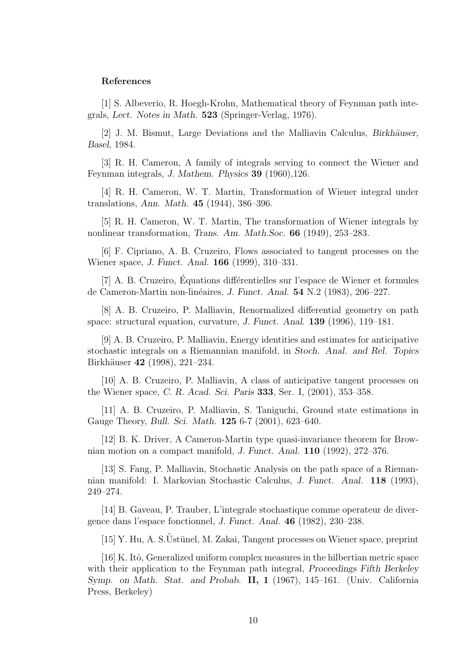#### References

[1] S. Albeverio, R. Hoegh-Krohn, Mathematical theory of Feynman path integrals, Lect. Notes in Math. 523 (Springer-Verlag, 1976).

[2] J. M. Bismut, Large Deviations and the Malliavin Calculus, Birkhäuser, Basel, 1984.

[3] R. H. Cameron, A family of integrals serving to connect the Wiener and Feynman integrals, J. Mathem. Physics 39 (1960),126.

[4] R. H. Cameron, W. T. Martin, Transformation of Wiener integral under translations, Ann. Math. 45 (1944), 386–396.

[5] R. H. Cameron, W. T. Martin, The transformation of Wiener integrals by nonlinear transformation, Trans. Am. Math.Soc. 66 (1949), 253–283.

[6] F. Cipriano, A. B. Cruzeiro, Flows associated to tangent processes on the Wiener space, J. Funct. Anal. 166 (1999), 310–331.

[7] A. B. Cruzeiro, Equations differentielles sur l'espace de Wiener et formules de Cameron-Martin non-linéaires, J. Funct. Anal. 54 N.2 (1983), 206–227.

[8] A. B. Cruzeiro, P. Malliavin, Renormalized differential geometry on path space: structural equation, curvature, J. Funct. Anal. 139 (1996), 119–181.

[9] A. B. Cruzeiro, P. Malliavin, Energy identities and estimates for anticipative stochastic integrals on a Riemannian manifold, in Stoch. Anal. and Rel. Topics Birkhäuser 42 (1998), 221–234.

[10] A. B. Cruzeiro, P. Malliavin, A class of anticipative tangent processes on the Wiener space, C. R. Acad. Sci. Paris 333, Ser. I, (2001), 353–358.

[11] A. B. Cruzeiro, P. Malliavin, S. Taniguchi, Ground state estimations in Gauge Theory, Bull. Sci. Math. 125 6-7 (2001), 623–640.

[12] B. K. Driver, A Cameron-Martin type quasi-invariance theorem for Brownian motion on a compact manifold, J. Funct. Anal. 110 (1992), 272–376.

[13] S. Fang, P. Malliavin, Stochastic Analysis on the path space of a Riemannian manifold: I. Markovian Stochastic Calculus, J. Funct. Anal. 118 (1993), 249–274.

[14] B. Gaveau, P. Trauber, L'integrale stochastique comme operateur de divergence dans l'espace fonctionnel, J. Funct. Anal. 46 (1982), 230–238.

 $[15]$  Y. Hu, A. S. Üstünel, M. Zakai, Tangent processes on Wiener space, preprint

[16] K. Itô, Generalized uniform complex measures in the hilbertian metric space with their application to the Feynman path integral, *Proceedings Fifth Berkeley* Symp. on Math. Stat. and Probab. II, 1 (1967), 145–161. (Univ. California Press, Berkeley)